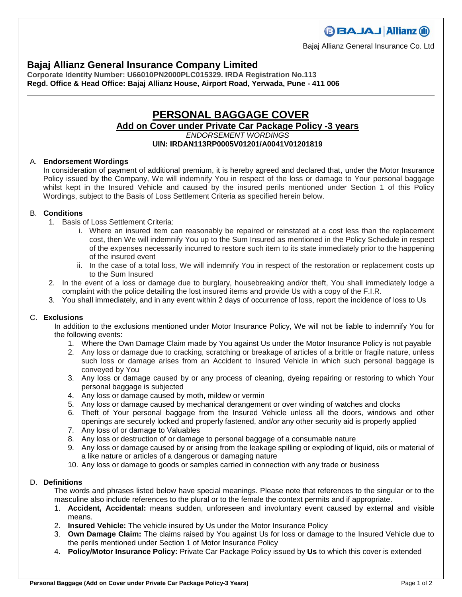## **Bajaj Allianz General Insurance Company Limited**

**Corporate Identity Number: U66010PN2000PLC015329. IRDA Registration No.113 Regd. Office & Head Office: Bajaj Allianz House, Airport Road, Yerwada, Pune - 411 006**

## **PERSONAL BAGGAGE COVER Add on Cover under Private Car Package Policy -3 years** *ENDORSEMENT WORDINGS*

#### **UIN: IRDAN113RP0005V01201/A0041V01201819**

#### A. **Endorsement Wordings**

In consideration of payment of additional premium, it is hereby agreed and declared that, under the Motor Insurance Policy issued by the Company, We will indemnify You in respect of the loss or damage to Your personal baggage whilst kept in the Insured Vehicle and caused by the insured perils mentioned under Section 1 of this Policy Wordings, subject to the Basis of Loss Settlement Criteria as specified herein below.

#### B. **Conditions**

- 1. Basis of Loss Settlement Criteria:
	- i. Where an insured item can reasonably be repaired or reinstated at a cost less than the replacement cost, then We will indemnify You up to the Sum Insured as mentioned in the Policy Schedule in respect of the expenses necessarily incurred to restore such item to its state immediately prior to the happening of the insured event
	- ii. In the case of a total loss, We will indemnify You in respect of the restoration or replacement costs up to the Sum Insured
- 2. In the event of a loss or damage due to burglary, housebreaking and/or theft, You shall immediately lodge a complaint with the police detailing the lost insured items and provide Us with a copy of the F.I.R.
- 3. You shall immediately, and in any event within 2 days of occurrence of loss, report the incidence of loss to Us

### C. **Exclusions**

In addition to the exclusions mentioned under Motor Insurance Policy, We will not be liable to indemnify You for the following events:

- 1. Where the Own Damage Claim made by You against Us under the Motor Insurance Policy is not payable
- 2. Any loss or damage due to cracking, scratching or breakage of articles of a brittle or fragile nature, unless such loss or damage arises from an Accident to Insured Vehicle in which such personal baggage is conveyed by You
- 3. Any loss or damage caused by or any process of cleaning, dyeing repairing or restoring to which Your personal baggage is subjected
- 4. Any loss or damage caused by moth, mildew or vermin
- 5. Any loss or damage caused by mechanical derangement or over winding of watches and clocks
- 6. Theft of Your personal baggage from the Insured Vehicle unless all the doors, windows and other openings are securely locked and properly fastened, and/or any other security aid is properly applied
- 7. Any loss of or damage to Valuables
- 8. Any loss or destruction of or damage to personal baggage of a consumable nature
- 9. Any loss or damage caused by or arising from the leakage spilling or exploding of liquid, oils or material of a like nature or articles of a dangerous or damaging nature
- 10. Any loss or damage to goods or samples carried in connection with any trade or business

#### D. **Definitions**

The words and phrases listed below have special meanings. Please note that references to the singular or to the masculine also include references to the plural or to the female the context permits and if appropriate.

- 1. **Accident, Accidental:** means sudden, unforeseen and involuntary event caused by external and visible means.
- 2. **Insured Vehicle:** The vehicle insured by Us under the Motor Insurance Policy
- 3. **Own Damage Claim:** The claims raised by You against Us for loss or damage to the Insured Vehicle due to the perils mentioned under Section 1 of Motor Insurance Policy
- 4. **Policy/Motor Insurance Policy:** Private Car Package Policy issued by **Us** to which this cover is extended

# **BBAJAJ Allianz (ii)**

Bajaj Allianz General Insurance Co. Ltd